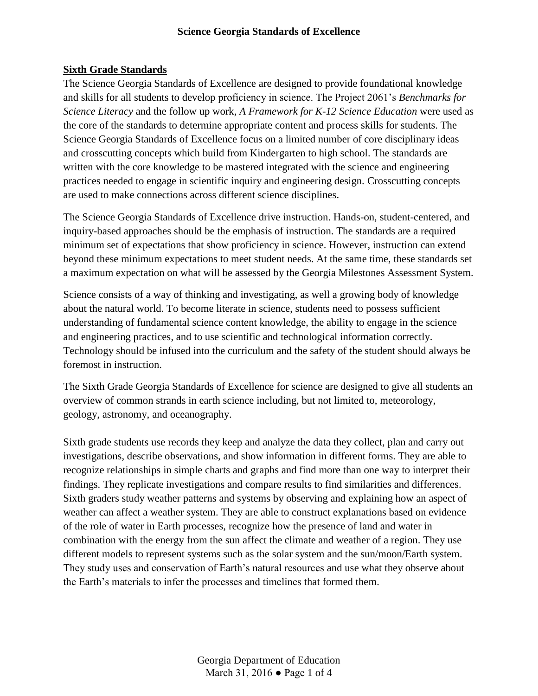#### **Sixth Grade Standards**

The Science Georgia Standards of Excellence are designed to provide foundational knowledge and skills for all students to develop proficiency in science. The Project 2061's *Benchmarks for Science Literacy* and the follow up work, *A Framework for K-12 Science Education* were used as the core of the standards to determine appropriate content and process skills for students. The Science Georgia Standards of Excellence focus on a limited number of core disciplinary ideas and crosscutting concepts which build from Kindergarten to high school. The standards are written with the core knowledge to be mastered integrated with the science and engineering practices needed to engage in scientific inquiry and engineering design. Crosscutting concepts are used to make connections across different science disciplines.

The Science Georgia Standards of Excellence drive instruction. Hands-on, student-centered, and inquiry-based approaches should be the emphasis of instruction. The standards are a required minimum set of expectations that show proficiency in science. However, instruction can extend beyond these minimum expectations to meet student needs. At the same time, these standards set a maximum expectation on what will be assessed by the Georgia Milestones Assessment System.

Science consists of a way of thinking and investigating, as well a growing body of knowledge about the natural world. To become literate in science, students need to possess sufficient understanding of fundamental science content knowledge, the ability to engage in the science and engineering practices, and to use scientific and technological information correctly. Technology should be infused into the curriculum and the safety of the student should always be foremost in instruction.

The Sixth Grade Georgia Standards of Excellence for science are designed to give all students an overview of common strands in earth science including, but not limited to, meteorology, geology, astronomy, and oceanography.

Sixth grade students use records they keep and analyze the data they collect, plan and carry out investigations, describe observations, and show information in different forms. They are able to recognize relationships in simple charts and graphs and find more than one way to interpret their findings. They replicate investigations and compare results to find similarities and differences. Sixth graders study weather patterns and systems by observing and explaining how an aspect of weather can affect a weather system. They are able to construct explanations based on evidence of the role of water in Earth processes, recognize how the presence of land and water in combination with the energy from the sun affect the climate and weather of a region. They use different models to represent systems such as the solar system and the sun/moon/Earth system. They study uses and conservation of Earth's natural resources and use what they observe about the Earth's materials to infer the processes and timelines that formed them.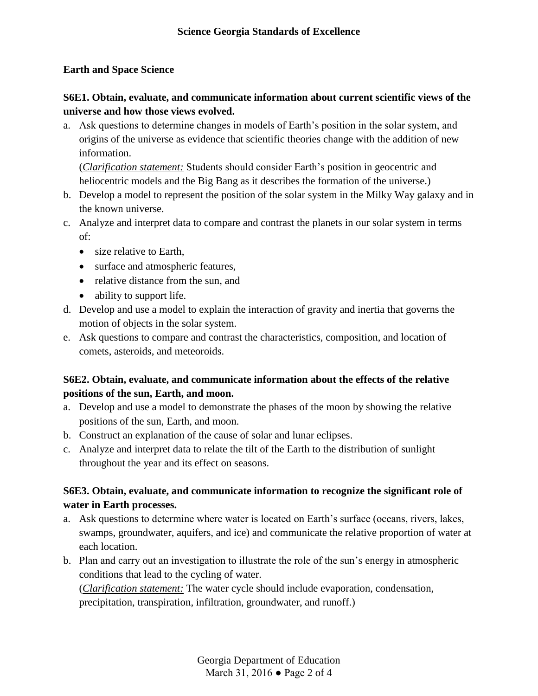### **Earth and Space Science**

## **S6E1. Obtain, evaluate, and communicate information about current scientific views of the universe and how those views evolved.**

a. Ask questions to determine changes in models of Earth's position in the solar system, and origins of the universe as evidence that scientific theories change with the addition of new information.

(*Clarification statement:* Students should consider Earth's position in geocentric and heliocentric models and the Big Bang as it describes the formation of the universe.)

- b. Develop a model to represent the position of the solar system in the Milky Way galaxy and in the known universe.
- c. Analyze and interpret data to compare and contrast the planets in our solar system in terms of:
	- size relative to Earth,
	- surface and atmospheric features,
	- relative distance from the sun, and
	- ability to support life.
- d. Develop and use a model to explain the interaction of gravity and inertia that governs the motion of objects in the solar system.
- e. Ask questions to compare and contrast the characteristics, composition, and location of comets, asteroids, and meteoroids.

## **S6E2. Obtain, evaluate, and communicate information about the effects of the relative positions of the sun, Earth, and moon.**

- a. Develop and use a model to demonstrate the phases of the moon by showing the relative positions of the sun, Earth, and moon.
- b. Construct an explanation of the cause of solar and lunar eclipses.
- c. Analyze and interpret data to relate the tilt of the Earth to the distribution of sunlight throughout the year and its effect on seasons.

## **S6E3. Obtain, evaluate, and communicate information to recognize the significant role of water in Earth processes.**

- a. Ask questions to determine where water is located on Earth's surface (oceans, rivers, lakes, swamps, groundwater, aquifers, and ice) and communicate the relative proportion of water at each location.
- b. Plan and carry out an investigation to illustrate the role of the sun's energy in atmospheric conditions that lead to the cycling of water.

(*Clarification statement:* The water cycle should include evaporation, condensation, precipitation, transpiration, infiltration, groundwater, and runoff.)

> Georgia Department of Education March 31, 2016 ● Page 2 of 4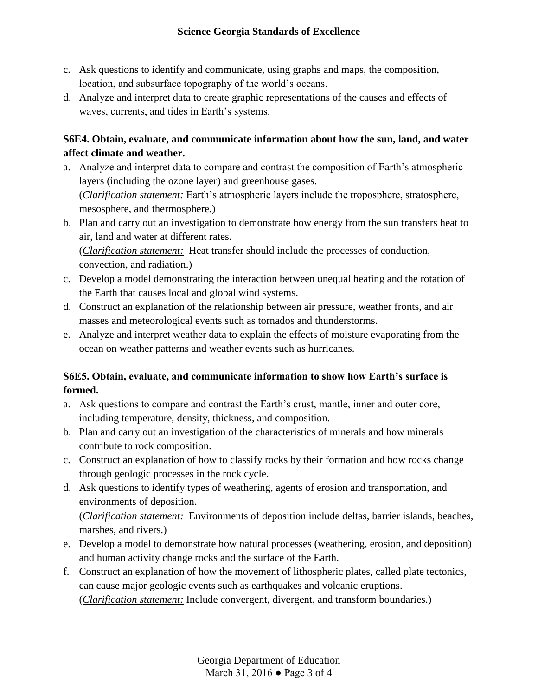- c. Ask questions to identify and communicate, using graphs and maps, the composition, location, and subsurface topography of the world's oceans.
- d. Analyze and interpret data to create graphic representations of the causes and effects of waves, currents, and tides in Earth's systems.

## **S6E4. Obtain, evaluate, and communicate information about how the sun, land, and water affect climate and weather.**

- a. Analyze and interpret data to compare and contrast the composition of Earth's atmospheric layers (including the ozone layer) and greenhouse gases. (*Clarification statement:* Earth's atmospheric layers include the troposphere, stratosphere, mesosphere, and thermosphere.)
- b. Plan and carry out an investigation to demonstrate how energy from the sun transfers heat to air, land and water at different rates. (*Clarification statement:* Heat transfer should include the processes of conduction, convection, and radiation.)
- c. Develop a model demonstrating the interaction between unequal heating and the rotation of the Earth that causes local and global wind systems.
- d. Construct an explanation of the relationship between air pressure, weather fronts, and air masses and meteorological events such as tornados and thunderstorms.
- e. Analyze and interpret weather data to explain the effects of moisture evaporating from the ocean on weather patterns and weather events such as hurricanes.

# **S6E5. Obtain, evaluate, and communicate information to show how Earth's surface is formed.**

- a. Ask questions to compare and contrast the Earth's crust, mantle, inner and outer core, including temperature, density, thickness, and composition.
- b. Plan and carry out an investigation of the characteristics of minerals and how minerals contribute to rock composition.
- c. Construct an explanation of how to classify rocks by their formation and how rocks change through geologic processes in the rock cycle.
- d. Ask questions to identify types of weathering, agents of erosion and transportation, and environments of deposition.

(*Clarification statement:* Environments of deposition include deltas, barrier islands, beaches, marshes, and rivers.)

- e. Develop a model to demonstrate how natural processes (weathering, erosion, and deposition) and human activity change rocks and the surface of the Earth.
- f. Construct an explanation of how the movement of lithospheric plates, called plate tectonics, can cause major geologic events such as earthquakes and volcanic eruptions. (*Clarification statement:* Include convergent, divergent, and transform boundaries.)